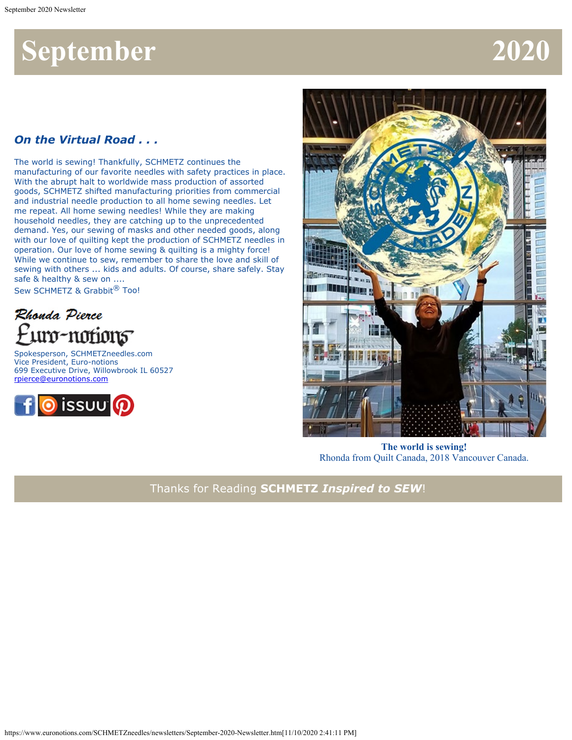## **September 2020**

#### *On the Virtual Road . . .*

The world is sewing! Thankfully, SCHMETZ continues the manufacturing of our favorite needles with safety practices in place. With the abrupt halt to worldwide mass production of assorted goods, SCHMETZ shifted manufacturing priorities from commercial and industrial needle production to all home sewing needles. Let me repeat. All home sewing needles! While they are making household needles, they are catching up to the unprecedented demand. Yes, our sewing of masks and other needed goods, along with our love of quilting kept the production of SCHMETZ needles in operation. Our love of home sewing & quilting is a mighty force! While we continue to sew, remember to share the love and skill of sewing with others ... kids and adults. Of course, share safely. Stay safe & healthy & sew on ....

Sew SCHMETZ & Grabbit<sup>®</sup> Too!



Spokesperson, SCHMETZneedles.com Vice President, Euro-notions 699 Executive Drive, Willowbrook IL 60527 [rpierce@euronotions.com](mailto:rpierce@euronotions.com)





**The world is sewing!** Rhonda from Quilt Canada, 2018 Vancouver Canada.

Thanks for Reading **SCHMETZ** *Inspired to SEW*!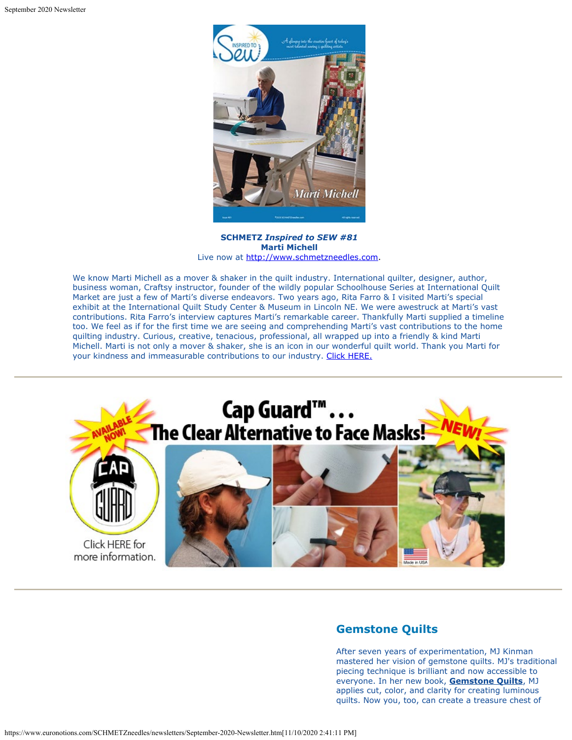

**SCHMETZ** *Inspired to SEW #81* **Marti Michell** Live now at [http://www.schmetzneedles.com](http://www.schmetzneedles.com/archived-digital-magazines/).

We know Marti Michell as a mover & shaker in the quilt industry. International quilter, designer, author, business woman, Craftsy instructor, founder of the wildly popular Schoolhouse Series at International Quilt Market are just a few of Marti's diverse endeavors. Two years ago, Rita Farro & I visited Marti's special exhibit at the International Quilt Study Center & Museum in Lincoln NE. We were awestruck at Marti's vast contributions. Rita Farro's interview captures Marti's remarkable career. Thankfully Marti supplied a timeline too. We feel as if for the first time we are seeing and comprehending Marti's vast contributions to the home quilting industry. Curious, creative, tenacious, professional, all wrapped up into a friendly & kind Marti Michell. Marti is not only a mover & shaker, she is an icon in our wonderful quilt world. Thank you Marti for your kindness and immeasurable contributions to our industry. [Click HERE.](https://issuu.com/schmetzneedles/docs/its81-sep20?fr=sOGQwZjE3NTM3)



#### **Gemstone Quilts**

After seven years of experimentation, MJ Kinman mastered her vision of gemstone quilts. MJ's traditional piecing technique is brilliant and now accessible to everyone. In her new book, **Gemstone Quilts**, MJ applies cut, color, and clarity for creating luminous quilts. Now you, too, can create a treasure chest of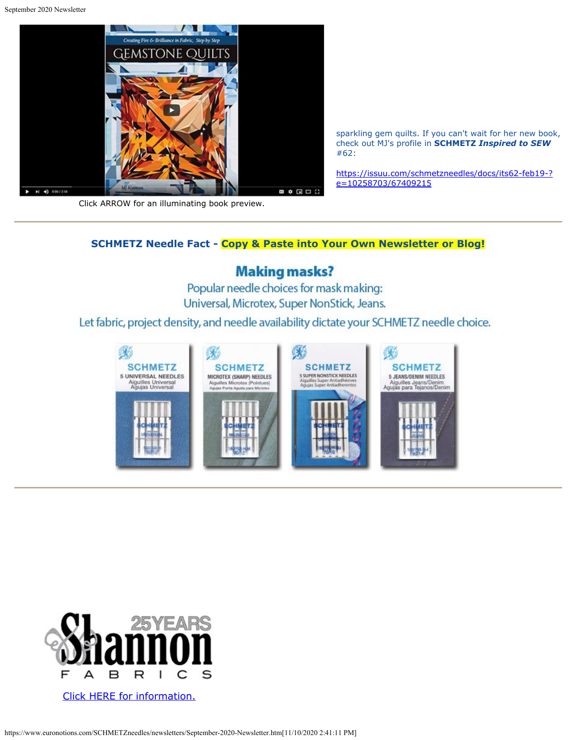

sparkling gem quilts. If you can't wait for her new book, check out MJ's profile in **SCHMETZ** *Inspired to SEW* #62:

[https://issuu.com/schmetzneedles/docs/its62-feb19-?](https://issuu.com/schmetzneedles/docs/its62-feb19-?e=10258703/67409215) [e=10258703/67409215](https://issuu.com/schmetzneedles/docs/its62-feb19-?e=10258703/67409215)

Click ARROW for an illuminating book preview.

#### **SCHMETZ Needle Fact - Copy & Paste into Your Own Newsletter or Blog!**

#### **Making masks?**

Popular needle choices for mask making: Universal, Microtex, Super NonStick, Jeans.

Let fabric, project density, and needle availability dictate your SCHMETZ needle choice.





[Click HERE for information.](https://blog.shannonfabrics.com/blog/ultimate-national-sewing-month-giveaway)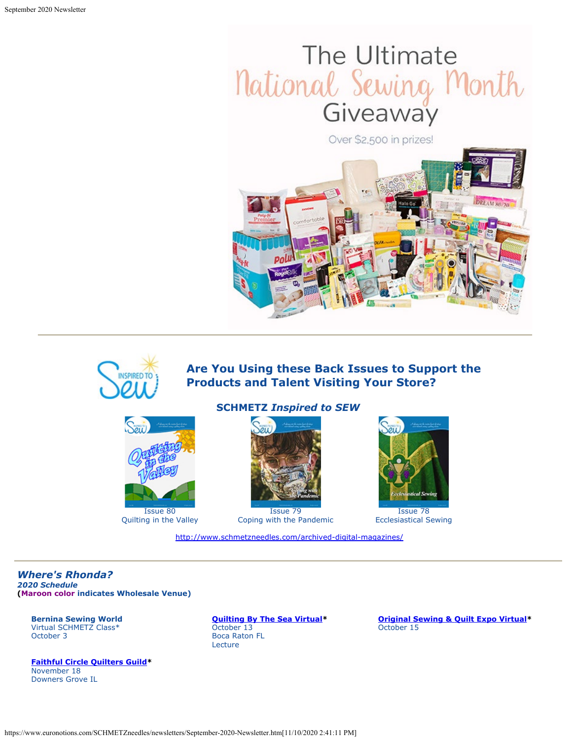# The Ultimate National Sewing Month

Over \$2,500 in prizes!





### **Are You Using these Back Issues to Support the Products and Talent Visiting Your Store?**



Quilting in the Valley

#### **SCHMETZ** *Inspired to SEW*



Issue 79 Coping with the Pandemic

<http://www.schmetzneedles.com/archived-digital-magazines/>



Issue 78 Ecclesiastical Sewing

*Where's Rhonda?*

*2020 Schedule* **(Maroon color indicates Wholesale Venue)**

**Bernina Sewing World** Virtual SCHMETZ Class\* October 3

**[Faithful Circle Quilters Guild](http://www.fcquilters.com/)\*** November 18 Downers Grove IL

**[Quilting By The Sea Virtual](http://www.quiltguildbythesea.com/)\*** October 13 Boca Raton FL Lecture

**[Original Sewing & Quilt Expo Virtual](https://sewingexpo.com/)\*** October 15